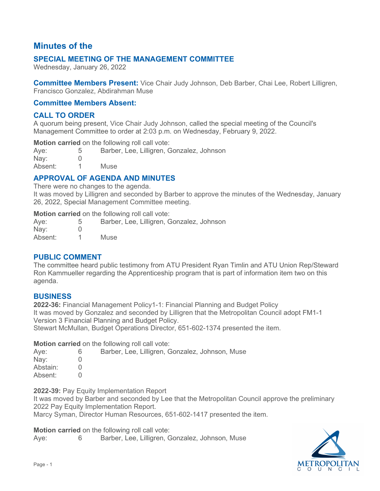# **Minutes of the**

## **SPECIAL MEETING OF THE MANAGEMENT COMMITTEE**

Wednesday, January 26, 2022

**Committee Members Present:** Vice Chair Judy Johnson, Deb Barber, Chai Lee, Robert Lilligren, Francisco Gonzalez, Abdirahman Muse

#### **Committee Members Absent:**

### **CALL TO ORDER**

A quorum being present, Vice Chair Judy Johnson, called the special meeting of the Council's Management Committee to order at 2:03 p.m. on Wednesday, February 9, 2022.

**Motion carried** on the following roll call vote:

| Aye:          | Barber, Lee, Lilligren, Gonzalez, Johnson |
|---------------|-------------------------------------------|
| $\text{Nay:}$ |                                           |
| Absent:       | <b>Muse</b>                               |

## **APPROVAL OF AGENDA AND MINUTES**

There were no changes to the agenda.

It was moved by Lilligren and seconded by Barber to approve the minutes of the Wednesday, January 26, 2022, Special Management Committee meeting.

**Motion carried** on the following roll call vote:

| Aye:    | Barber, Lee, Lilligren, Gonzalez, Johnson |
|---------|-------------------------------------------|
| Nay:    |                                           |
| Absent: | Muse                                      |

### **PUBLIC COMMENT**

The committee heard public testimony from ATU President Ryan Timlin and ATU Union Rep/Steward Ron Kammueller regarding the Apprenticeship program that is part of information item two on this agenda.

### **BUSINESS**

**2022-36:** Financial Management Policy1-1: Financial Planning and Budget Policy It was moved by Gonzalez and seconded by Lilligren that the Metropolitan Council adopt FM1-1 Version 3 Financial Planning and Budget Policy. Stewart McMullan, Budget Operations Director, 651-602-1374 presented the item.

**Motion carried** on the following roll call vote:

|          |    | <b>INUCIULE CALLICU</b> UIL LIIG TUITUWILIU TUIL CAIL VULG. |
|----------|----|-------------------------------------------------------------|
| Aye:     | 6. | Barber, Lee, Lilligren, Gonzalez, Johnson, Muse             |
| Nay:     |    |                                                             |
| Abstain: |    |                                                             |
| Absent:  |    |                                                             |
|          |    |                                                             |

**2022-39:** Pay Equity Implementation Report

It was moved by Barber and seconded by Lee that the Metropolitan Council approve the preliminary 2022 Pay Equity Implementation Report.

Marcy Syman, Director Human Resources, 651-602-1417 presented the item.

**Motion carried** on the following roll call vote:

Aye: 6 Barber, Lee, Lilligren, Gonzalez, Johnson, Muse